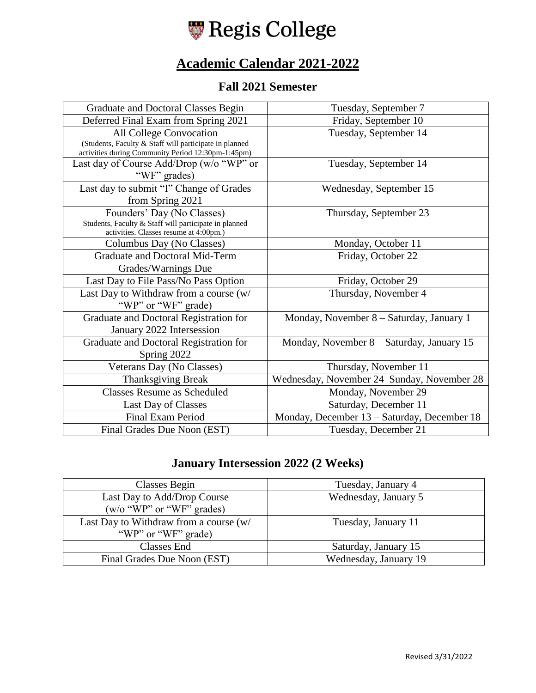

# **Academic Calendar 2021-2022**

#### **Fall 2021 Semester**

| Graduate and Doctoral Classes Begin                                                                                                     | Tuesday, September 7                        |
|-----------------------------------------------------------------------------------------------------------------------------------------|---------------------------------------------|
| Deferred Final Exam from Spring 2021                                                                                                    | Friday, September 10                        |
| All College Convocation<br>(Students, Faculty & Staff will participate in planned<br>activities during Community Period 12:30pm-1:45pm) | Tuesday, September 14                       |
| Last day of Course Add/Drop (w/o "WP" or<br>"WF" grades)                                                                                | Tuesday, September 14                       |
| Last day to submit "I" Change of Grades<br>from Spring 2021                                                                             | Wednesday, September 15                     |
| Founders' Day (No Classes)<br>Students, Faculty & Staff will participate in planned<br>activities. Classes resume at 4:00pm.)           | Thursday, September 23                      |
| Columbus Day (No Classes)                                                                                                               | Monday, October 11                          |
| Graduate and Doctoral Mid-Term                                                                                                          | Friday, October 22                          |
| Grades/Warnings Due                                                                                                                     |                                             |
| Last Day to File Pass/No Pass Option                                                                                                    | Friday, October 29                          |
| Last Day to Withdraw from a course (w/<br>"WP" or "WF" grade)                                                                           | Thursday, November 4                        |
| Graduate and Doctoral Registration for<br>January 2022 Intersession                                                                     | Monday, November 8 – Saturday, January 1    |
| Graduate and Doctoral Registration for<br>Spring 2022                                                                                   | Monday, November 8 – Saturday, January 15   |
| Veterans Day (No Classes)                                                                                                               | Thursday, November 11                       |
| <b>Thanksgiving Break</b>                                                                                                               | Wednesday, November 24–Sunday, November 28  |
| <b>Classes Resume as Scheduled</b>                                                                                                      | Monday, November 29                         |
| Last Day of Classes                                                                                                                     | Saturday, December 11                       |
| <b>Final Exam Period</b>                                                                                                                | Monday, December 13 - Saturday, December 18 |
| Final Grades Due Noon (EST)                                                                                                             | Tuesday, December 21                        |

### **January Intersession 2022 (2 Weeks)**

| Classes Begin                                            | Tuesday, January 4    |
|----------------------------------------------------------|-----------------------|
| Last Day to Add/Drop Course<br>(w/o "WP" or "WF" grades) | Wednesday, January 5  |
|                                                          |                       |
| Last Day to Withdraw from a course (w/                   | Tuesday, January 11   |
| "WP" or "WF" grade)                                      |                       |
| Classes End                                              | Saturday, January 15  |
| Final Grades Due Noon (EST)                              | Wednesday, January 19 |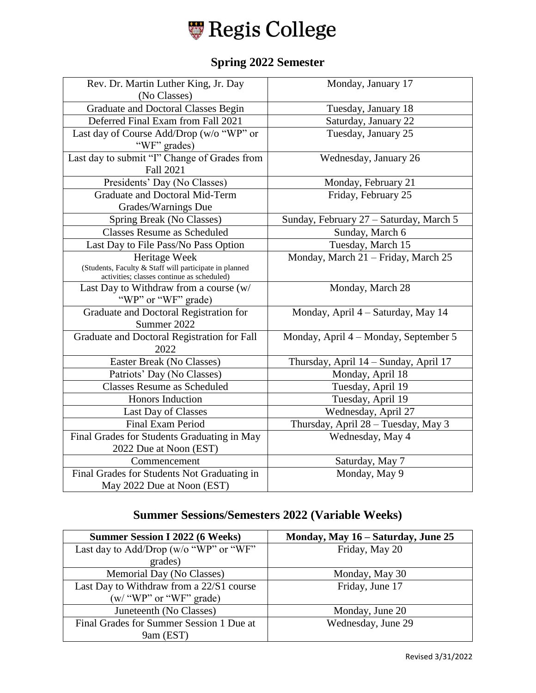

## **Spring 2022 Semester**

| Rev. Dr. Martin Luther King, Jr. Day                                                 | Monday, January 17                      |
|--------------------------------------------------------------------------------------|-----------------------------------------|
| (No Classes)                                                                         |                                         |
| <b>Graduate and Doctoral Classes Begin</b>                                           | Tuesday, January 18                     |
| Deferred Final Exam from Fall 2021                                                   | Saturday, January 22                    |
| Last day of Course Add/Drop (w/o "WP" or                                             | Tuesday, January 25                     |
| "WF" grades)                                                                         |                                         |
| Last day to submit "I" Change of Grades from                                         | Wednesday, January 26                   |
| <b>Fall 2021</b>                                                                     |                                         |
| Presidents' Day (No Classes)                                                         | Monday, February 21                     |
| <b>Graduate and Doctoral Mid-Term</b>                                                | Friday, February 25                     |
| Grades/Warnings Due                                                                  |                                         |
| Spring Break (No Classes)                                                            | Sunday, February 27 - Saturday, March 5 |
| <b>Classes Resume as Scheduled</b>                                                   | Sunday, March 6                         |
| Last Day to File Pass/No Pass Option                                                 | Tuesday, March 15                       |
| Heritage Week                                                                        | Monday, March 21 - Friday, March 25     |
| (Students, Faculty & Staff will participate in planned                               |                                         |
| activities; classes continue as scheduled)<br>Last Day to Withdraw from a course (w/ | Monday, March 28                        |
| "WP" or "WF" grade)                                                                  |                                         |
| Graduate and Doctoral Registration for                                               | Monday, April 4 - Saturday, May 14      |
| Summer 2022                                                                          |                                         |
| Graduate and Doctoral Registration for Fall                                          | Monday, April 4 – Monday, September 5   |
| 2022                                                                                 |                                         |
| Easter Break (No Classes)                                                            | Thursday, April 14 - Sunday, April 17   |
| Patriots' Day (No Classes)                                                           | Monday, April 18                        |
| <b>Classes Resume as Scheduled</b>                                                   | Tuesday, April 19                       |
| Honors Induction                                                                     | Tuesday, April 19                       |
| Last Day of Classes                                                                  | Wednesday, April 27                     |
| Final Exam Period                                                                    | Thursday, April 28 - Tuesday, May 3     |
| Final Grades for Students Graduating in May                                          | Wednesday, May 4                        |
| 2022 Due at Noon (EST)                                                               |                                         |
| Commencement                                                                         | Saturday, May 7                         |
| Final Grades for Students Not Graduating in                                          | Monday, May 9                           |
| May 2022 Due at Noon (EST)                                                           |                                         |
|                                                                                      |                                         |

### **Summer Sessions/Semesters 2022 (Variable Weeks)**

| <b>Summer Session I 2022 (6 Weeks)</b>   | Monday, May 16 - Saturday, June 25 |
|------------------------------------------|------------------------------------|
| Last day to Add/Drop (w/o "WP" or "WF"   | Friday, May 20                     |
| grades)                                  |                                    |
| Memorial Day (No Classes)                | Monday, May 30                     |
| Last Day to Withdraw from a 22/S1 course | Friday, June 17                    |
| $(w'$ "WP" or "WF" grade)                |                                    |
| Juneteenth (No Classes)                  | Monday, June 20                    |
| Final Grades for Summer Session 1 Due at | Wednesday, June 29                 |
| 9am (EST)                                |                                    |